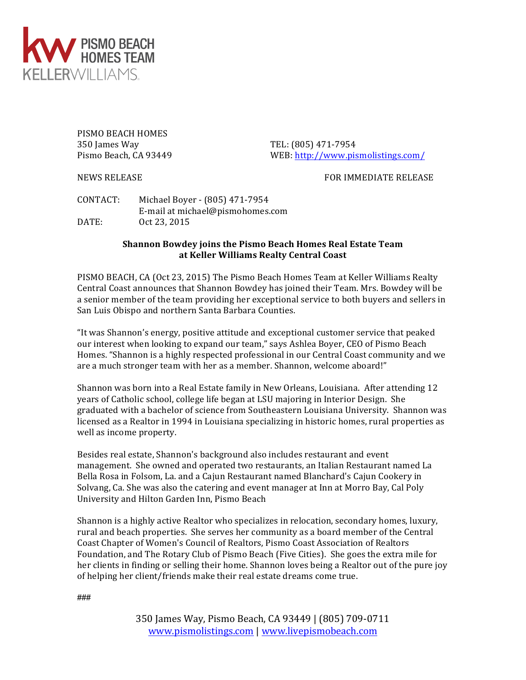

PISMO BEACH HOMES 350 James Way TEL: (805) 471-7954

Pismo Beach, CA 93449 WEB: http://www.pismolistings.com/

NEWS RELEASE **FOR IMMEDIATE** RELEASE

CONTACT: Michael Boyer - (805) 471-7954 E-mail at michael@pismohomes.com DATE: 0ct 23, 2015

## **Shannon Bowdey joins the Pismo Beach Homes Real Estate Team at Keller Williams Realty Central Coast**

PISMO BEACH, CA (Oct 23, 2015) The Pismo Beach Homes Team at Keller Williams Realty Central Coast announces that Shannon Bowdey has joined their Team. Mrs. Bowdey will be a senior member of the team providing her exceptional service to both buyers and sellers in San Luis Obispo and northern Santa Barbara Counties.

"It was Shannon's energy, positive attitude and exceptional customer service that peaked our interest when looking to expand our team," says Ashlea Boyer, CEO of Pismo Beach Homes. "Shannon is a highly respected professional in our Central Coast community and we are a much stronger team with her as a member. Shannon, welcome aboard!"

Shannon was born into a Real Estate family in New Orleans, Louisiana. After attending 12 years of Catholic school, college life began at LSU majoring in Interior Design. She graduated with a bachelor of science from Southeastern Louisiana University. Shannon was licensed as a Realtor in 1994 in Louisiana specializing in historic homes, rural properties as well as income property.

Besides real estate, Shannon's background also includes restaurant and event management. She owned and operated two restaurants, an Italian Restaurant named La Bella Rosa in Folsom, La. and a Cajun Restaurant named Blanchard's Cajun Cookery in Solvang, Ca. She was also the catering and event manager at Inn at Morro Bay, Cal Poly University and Hilton Garden Inn, Pismo Beach

Shannon is a highly active Realtor who specializes in relocation, secondary homes, luxury, rural and beach properties. She serves her community as a board member of the Central Coast Chapter of Women's Council of Realtors, Pismo Coast Association of Realtors Foundation, and The Rotary Club of Pismo Beach (Five Cities). She goes the extra mile for her clients in finding or selling their home. Shannon loves being a Realtor out of the pure joy of helping her client/friends make their real estate dreams come true.

###

350 James Way, Pismo Beach, CA 93449 | (805) 709-0711 www.pismolistings.com | www.livepismobeach.com